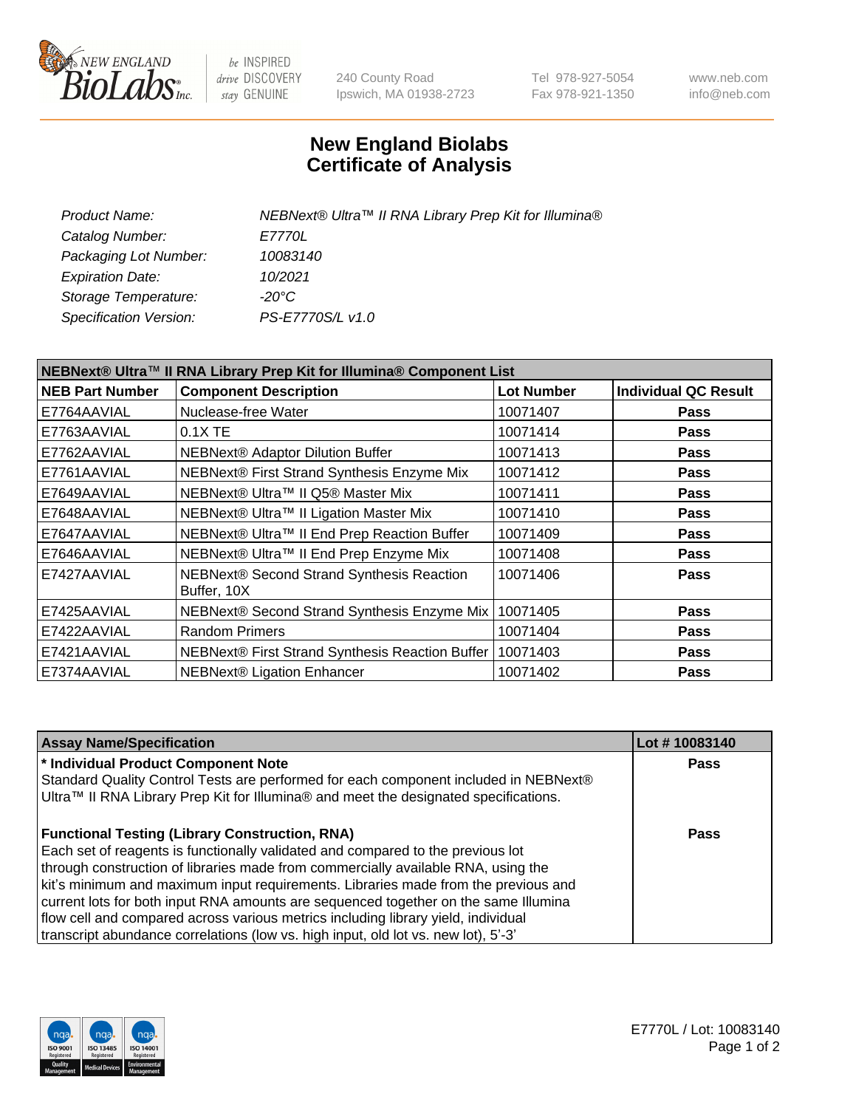

be INSPIRED drive DISCOVERY stay GENUINE

240 County Road Ipswich, MA 01938-2723 Tel 978-927-5054 Fax 978-921-1350 www.neb.com info@neb.com

## **New England Biolabs Certificate of Analysis**

| NEBNext® Ultra™ II RNA Library Prep Kit for Illumina® |
|-------------------------------------------------------|
| <i>E7770L</i>                                         |
| 10083140                                              |
| 10/2021                                               |
| -20°C                                                 |
| PS-E7770S/L v1.0                                      |
|                                                       |

| NEBNext® Ultra™ II RNA Library Prep Kit for Illumina® Component List |                                                            |                   |                             |  |
|----------------------------------------------------------------------|------------------------------------------------------------|-------------------|-----------------------------|--|
| <b>NEB Part Number</b>                                               | <b>Component Description</b>                               | <b>Lot Number</b> | <b>Individual QC Result</b> |  |
| E7764AAVIAL                                                          | Nuclease-free Water                                        | 10071407          | <b>Pass</b>                 |  |
| E7763AAVIAL                                                          | $0.1X$ TE                                                  | 10071414          | <b>Pass</b>                 |  |
| E7762AAVIAL                                                          | <b>NEBNext® Adaptor Dilution Buffer</b>                    | 10071413          | <b>Pass</b>                 |  |
| E7761AAVIAL                                                          | NEBNext® First Strand Synthesis Enzyme Mix                 | 10071412          | <b>Pass</b>                 |  |
| E7649AAVIAL                                                          | NEBNext® Ultra™ II Q5® Master Mix                          | 10071411          | <b>Pass</b>                 |  |
| E7648AAVIAL                                                          | NEBNext® Ultra™ II Ligation Master Mix                     | 10071410          | <b>Pass</b>                 |  |
| E7647AAVIAL                                                          | NEBNext® Ultra™ II End Prep Reaction Buffer                | 10071409          | <b>Pass</b>                 |  |
| E7646AAVIAL                                                          | NEBNext® Ultra™ II End Prep Enzyme Mix                     | 10071408          | <b>Pass</b>                 |  |
| E7427AAVIAL                                                          | NEBNext® Second Strand Synthesis Reaction<br>Buffer, 10X   | 10071406          | <b>Pass</b>                 |  |
| E7425AAVIAL                                                          | NEBNext® Second Strand Synthesis Enzyme Mix                | 10071405          | <b>Pass</b>                 |  |
| E7422AAVIAL                                                          | <b>Random Primers</b>                                      | 10071404          | <b>Pass</b>                 |  |
| E7421AAVIAL                                                          | NEBNext® First Strand Synthesis Reaction Buffer   10071403 |                   | <b>Pass</b>                 |  |
| E7374AAVIAL                                                          | NEBNext® Ligation Enhancer                                 | 10071402          | <b>Pass</b>                 |  |

| <b>Assay Name/Specification</b>                                                                                                                                              | Lot #10083140 |
|------------------------------------------------------------------------------------------------------------------------------------------------------------------------------|---------------|
| * Individual Product Component Note                                                                                                                                          | <b>Pass</b>   |
| Standard Quality Control Tests are performed for each component included in NEBNext®<br>Ultra™ II RNA Library Prep Kit for Illumina® and meet the designated specifications. |               |
| <b>Functional Testing (Library Construction, RNA)</b>                                                                                                                        | Pass          |
| Each set of reagents is functionally validated and compared to the previous lot                                                                                              |               |
| through construction of libraries made from commercially available RNA, using the                                                                                            |               |
| kit's minimum and maximum input requirements. Libraries made from the previous and                                                                                           |               |
| current lots for both input RNA amounts are sequenced together on the same Illumina                                                                                          |               |
| flow cell and compared across various metrics including library yield, individual                                                                                            |               |
| transcript abundance correlations (low vs. high input, old lot vs. new lot), 5'-3'                                                                                           |               |